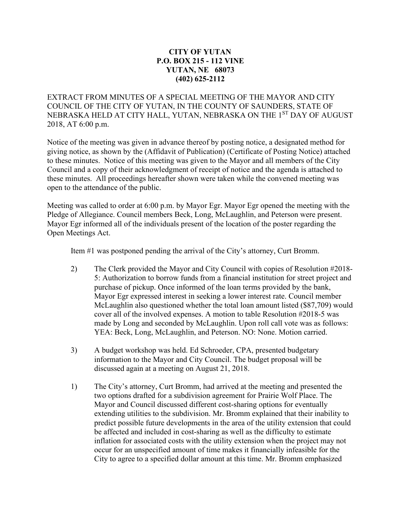## **CITY OF YUTAN P.O. BOX 215 - 112 VINE YUTAN, NE 68073 (402) 625-2112**

EXTRACT FROM MINUTES OF A SPECIAL MEETING OF THE MAYOR AND CITY COUNCIL OF THE CITY OF YUTAN, IN THE COUNTY OF SAUNDERS, STATE OF NEBRASKA HELD AT CITY HALL, YUTAN, NEBRASKA ON THE 1<sup>ST</sup> DAY OF AUGUST 2018, AT 6:00 p.m.

Notice of the meeting was given in advance thereof by posting notice, a designated method for giving notice, as shown by the (Affidavit of Publication) (Certificate of Posting Notice) attached to these minutes. Notice of this meeting was given to the Mayor and all members of the City Council and a copy of their acknowledgment of receipt of notice and the agenda is attached to these minutes. All proceedings hereafter shown were taken while the convened meeting was open to the attendance of the public.

Meeting was called to order at 6:00 p.m. by Mayor Egr. Mayor Egr opened the meeting with the Pledge of Allegiance. Council members Beck, Long, McLaughlin, and Peterson were present. Mayor Egr informed all of the individuals present of the location of the poster regarding the Open Meetings Act.

Item #1 was postponed pending the arrival of the City's attorney, Curt Bromm.

- 2) The Clerk provided the Mayor and City Council with copies of Resolution #2018- 5: Authorization to borrow funds from a financial institution for street project and purchase of pickup. Once informed of the loan terms provided by the bank, Mayor Egr expressed interest in seeking a lower interest rate. Council member McLaughlin also questioned whether the total loan amount listed (\$87,709) would cover all of the involved expenses. A motion to table Resolution #2018-5 was made by Long and seconded by McLaughlin. Upon roll call vote was as follows: YEA: Beck, Long, McLaughlin, and Peterson. NO: None. Motion carried.
- 3) A budget workshop was held. Ed Schroeder, CPA, presented budgetary information to the Mayor and City Council. The budget proposal will be discussed again at a meeting on August 21, 2018.
- 1) The City's attorney, Curt Bromm, had arrived at the meeting and presented the two options drafted for a subdivision agreement for Prairie Wolf Place. The Mayor and Council discussed different cost-sharing options for eventually extending utilities to the subdivision. Mr. Bromm explained that their inability to predict possible future developments in the area of the utility extension that could be affected and included in cost-sharing as well as the difficulty to estimate inflation for associated costs with the utility extension when the project may not occur for an unspecified amount of time makes it financially infeasible for the City to agree to a specified dollar amount at this time. Mr. Bromm emphasized